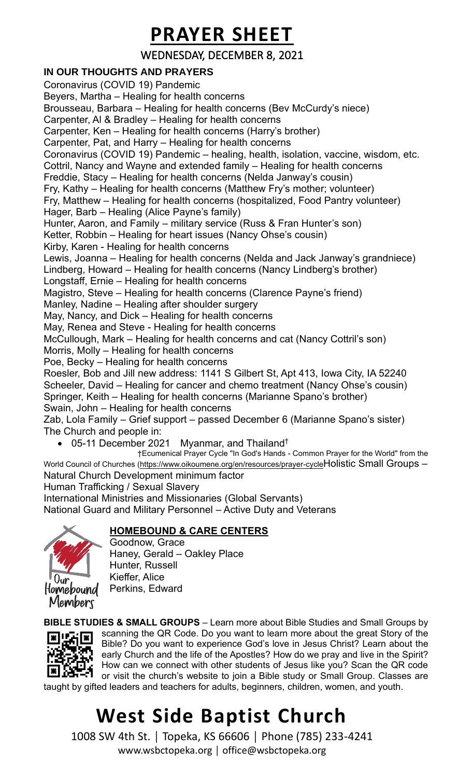### **PRAYER SHEET**

WEDNESDAY, DECEMBER 8, 2021

#### **IN OUR THOUGHTS AND PRAYERS**

Coronavirus (COVID 19) Pandemic Beyers, Martha – Healing for health concerns Brousseau, Barbara – Healing for health concerns (Bev McCurdy's niece) Carpenter, Al & Bradley – Healing for health concerns Carpenter, Ken – Healing for health concerns (Harry's brother) Carpenter, Pat, and Harry – Healing for health concerns Coronavirus (COVID 19) Pandemic – healing, health, isolation, vaccine, wisdom, etc. Cottril, Nancy and Wayne and extended family – Healing for health concerns Freddie, Stacy – Healing for health concerns (Nelda Janway's cousin) Fry, Kathy – Healing for health concerns (Matthew Fry's mother; volunteer) Fry, Matthew – Healing for health concerns (hospitalized, Food Pantry volunteer) Hager, Barb – Healing (Alice Payne's family) Hunter, Aaron, and Family – military service (Russ & Fran Hunter's son) Ketter, Robbin – Healing for heart issues (Nancy Ohse's cousin) Kirby, Karen - Healing for health concerns Lewis, Joanna – Healing for health concerns (Nelda and Jack Janway's grandniece) Lindberg, Howard – Healing for health concerns (Nancy Lindberg's brother) Longstaff, Ernie – Healing for health concerns Magistro, Steve – Healing for health concerns (Clarence Payne's friend) Manley, Nadine – Healing after shoulder surgery May, Nancy, and Dick – Healing for health concerns May, Renea and Steve - Healing for health concerns McCullough, Mark – Healing for health concerns and cat (Nancy Cottril's son) Morris, Molly – Healing for health concerns Poe, Becky – Healing for health concerns Roesler, Bob and Jill new address: 1141 S Gilbert St, Apt 413, Iowa City, IA 52240 Scheeler, David – Healing for cancer and chemo treatment (Nancy Ohse's cousin) Springer, Keith – Healing for health concerns (Marianne Spano's brother) Swain, John – Healing for health concerns Zab, Lola Family – Grief support – passed December 6 (Marianne Spano's sister) The Church and people in: • 05-11 December 2021 Myanmar, and Thailand<sup>†</sup>

†Ecumenical Prayer Cycle "In God's Hands - Common Prayer for the World" from the World Council of Churches [\(https://www.oikoumene.org/en/resources/prayer-cycle](https://www.oikoumene.org/en/resources/prayer-cycle)Holistic Small Groups – Natural Church Development minimum factor Human Trafficking / Sexual Slavery

International Ministries and Missionaries (Global Servants) National Guard and Military Personnel – Active Duty and Veterans

# $0<sub>ur</sub>$ Homebound Members

#### **HOMEBOUND & CARE CENTERS**

Goodnow, Grace Haney, Gerald – Oakley Place Hunter, Russell Kieffer, Alice Perkins, Edward

**BIBLE STUDIES & SMALL GROUPS** – Learn more about Bible Studies and Small Groups by scanning the QR Code. Do you want to learn more about the great Story of the ।‼ਨੂੰ <mark>ਭ</mark> Bible? Do you want to experience God's love in Jesus Christ? Learn about the early Church and the life of the Apostles? How do we pray and live in the Spirit? How can we connect with other students of Jesus like you? Scan the QR code or visit the church's website to join a Bible study or Small Group. Classes are

taught by gifted leaders and teachers for adults, beginners, children, women, and youth.

## **West Side Baptist Church**

1008 SW 4th St. │ Topeka, KS 66606 │ Phone (785) 233-4241 www.wsbctopeka.org │ office@wsbctopeka.org